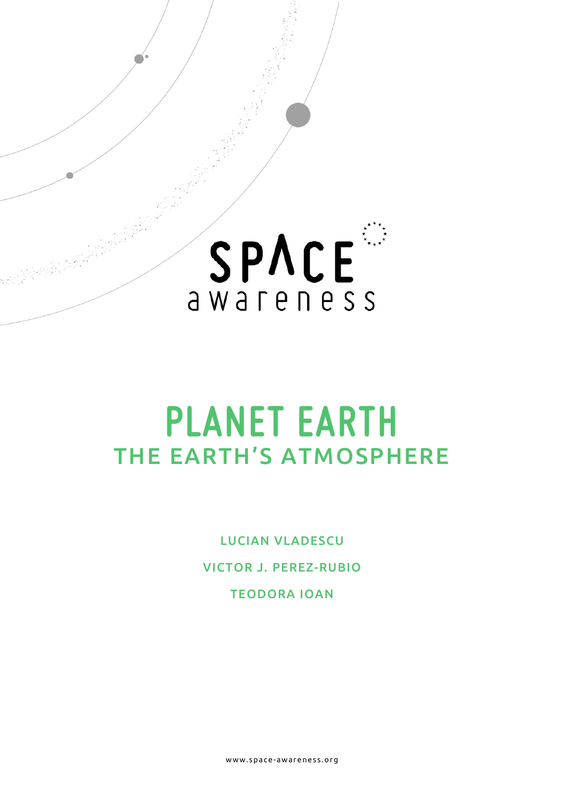

# **PLANET EARTH** THE EARTH'S ATMOSPHERE

LUCIAN VLADESCU VICTOR J. PEREZ-RUBIO TEODORA IOAN

www.space- awareness.org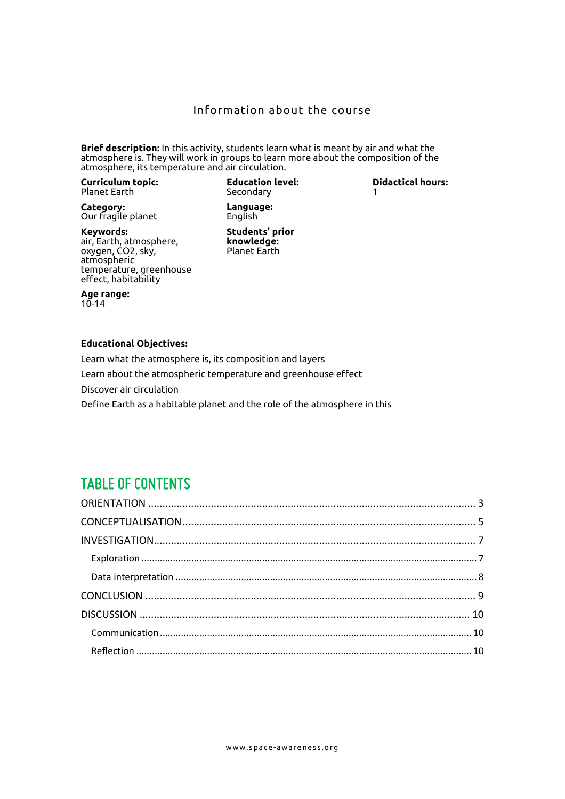#### Information about the course

**Brief description:** In this activity, students learn what is meant by air and what the atmosphere is. They will work in groups to learn more about the composition of the atmosphere, its temperature and air circulation.

**Curriculum topic:**  Planet Earth

**Education level:** Secondary

**Didactical hours:**  1

**Category:** Our fragile planet

**Keywords:** air, Earth, atmosphere, oxygen, CO2, sky, atmospheric temperature, greenhouse effect, habitability

**Students' prior knowledge:** Planet Earth

**Language:** English

**Age range:** 10-14

#### **Educational Objectives:**

Learn what the atmosphere is, its composition and layers Learn about the atmospheric temperature and greenhouse effect Discover air circulation Define Earth as a habitable planet and the role of the atmosphere in this

### **TABLE OF CONTENTS**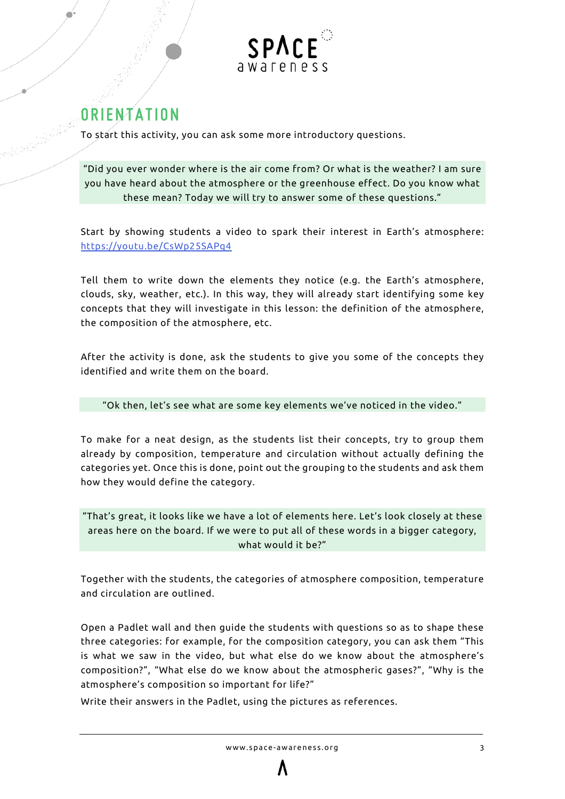

# <span id="page-2-0"></span>**ORIENTATION**

To start this activity, you can ask some more introductory questions.

"Did you ever wonder where is the air come from? Or what is the weather? I am sure you have heard about the atmosphere or the greenhouse effect. Do you know what these mean? Today we will try to answer some of these questions."

Start by showing students a video to spark their interest in Earth's atmosphere: <https://youtu.be/CsWp25SAPq4>

Tell them to write down the elements they notice (e.g. the Earth's atmosphere, clouds, sky, weather, etc.). In this way, they will already start identifying some key concepts that they will investigate in this lesson: the definition of the atmosphere, the composition of the atmosphere, etc.

After the activity is done, ask the students to give you some of the concepts they identified and write them on the board.

"Ok then, let's see what are some key elements we've noticed in the video."

To make for a neat design, as the students list their concepts, try to group them already by composition, temperature and circulation without actually defining the categories yet. Once this is done, point out the grouping to the students and ask them how they would define the category.

"That's great, it looks like we have a lot of elements here. Let's look closely at these areas here on the board. If we were to put all of these words in a bigger category, what would it be?"

Together with the students, the categories of atmosphere composition, temperature and circulation are outlined.

Open a Padlet wall and then guide the students with questions so as to shape these three categories: for example, for the composition category, you can ask them "This is what we saw in the video, but what else do we know about the atmosphere's composition?", "What else do we know about the atmospheric gases?", "Why is the atmosphere's composition so important for life?"

Write their answers in the Padlet, using the pictures as references.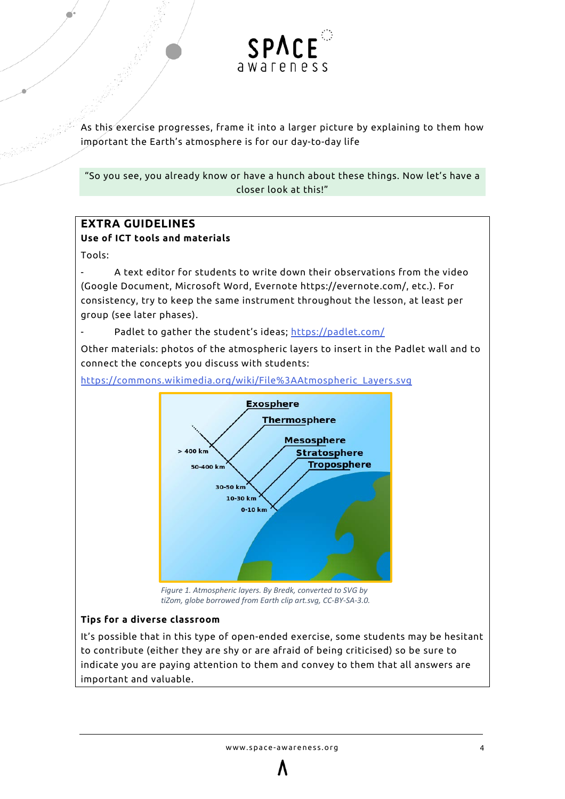

As this exercise progresses, frame it into a larger picture by explaining to them how important the Earth's atmosphere is for our day-to-day life

"So you see, you already know or have a hunch about these things. Now let's have a closer look at this!"

#### **EXTRA GUIDELINES Use of ICT tools and materials**

Tools:

- A text editor for students to write down their observations from the video (Google Document, Microsoft Word, Evernote https://evernote.com/, etc.). For consistency, try to keep the same instrument throughout the lesson, at least per group (see later phases).

Padlet to gather the student's ideas;<https://padlet.com/>

Other materials: photos of the atmospheric layers to insert in the Padlet wall and to connect the concepts you discuss with students:

[https://commons.wikimedia.org/wiki/File%3AAtmospheric\\_Layers.svg](https://commons.wikimedia.org/wiki/File%3AAtmospheric_Layers.svg)



*Figure 1. Atmospheric layers. By Bredk, converted to SVG by tiZom, globe borrowed from Earth clip art.svg, CC-BY-SA-3.0.*

#### **Tips for a diverse classroom**

It's possible that in this type of open-ended exercise, some students may be hesitant to contribute (either they are shy or are afraid of being criticised) so be sure to indicate you are paying attention to them and convey to them that all answers are important and valuable.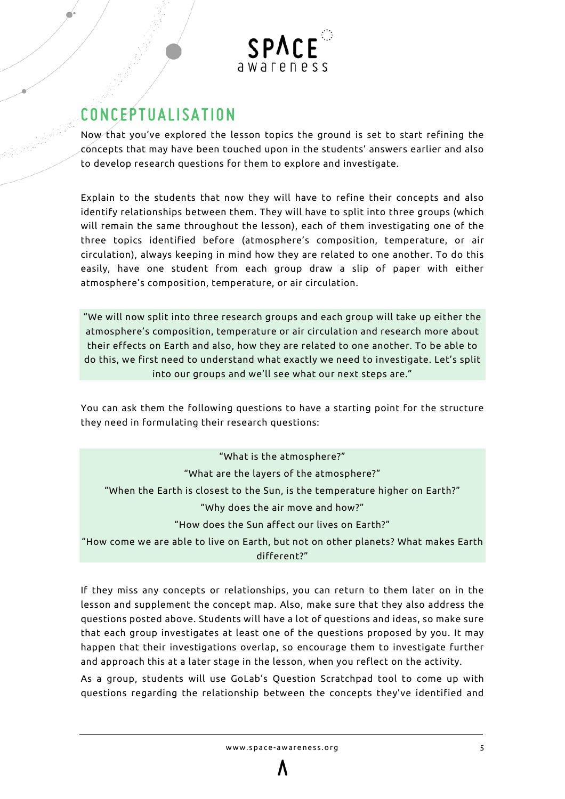

### <span id="page-4-0"></span>**CONCEPTUALISATION**

Now that you've explored the lesson topics the ground is set to start refining the concepts that may have been touched upon in the students' answers earlier and also to develop research questions for them to explore and investigate.

Explain to the students that now they will have to refine their concepts and also identify relationships between them. They will have to split into three groups (which will remain the same throughout the lesson), each of them investigating one of the three topics identified before (atmosphere's composition, temperature, or air circulation), always keeping in mind how they are related to one another. To do this easily, have one student from each group draw a slip of paper with either atmosphere's composition, temperature, or air circulation.

"We will now split into three research groups and each group will take up either the atmosphere's composition, temperature or air circulation and research more about their effects on Earth and also, how they are related to one another. To be able to do this, we first need to understand what exactly we need to investigate. Let's split into our groups and we'll see what our next steps are."

You can ask them the following questions to have a starting point for the structure they need in formulating their research questions:

| "What is the atmosphere?"                                                          |
|------------------------------------------------------------------------------------|
| "What are the layers of the atmosphere?"                                           |
| "When the Earth is closest to the Sun, is the temperature higher on Earth?"        |
| "Why does the air move and how?"                                                   |
| "How does the Sun affect our lives on Earth?"                                      |
| "How come we are able to live on Earth, but not on other planets? What makes Earth |
| different?"                                                                        |

If they miss any concepts or relationships, you can return to them later on in the lesson and supplement the concept map. Also, make sure that they also address the questions posted above. Students will have a lot of questions and ideas, so make sure that each group investigates at least one of the questions proposed by you. It may happen that their investigations overlap, so encourage them to investigate further and approach this at a later stage in the lesson, when you reflect on the activity.

As a group, students will use GoLab's Question Scratchpad tool to come up with questions regarding the relationship between the concepts they've identified and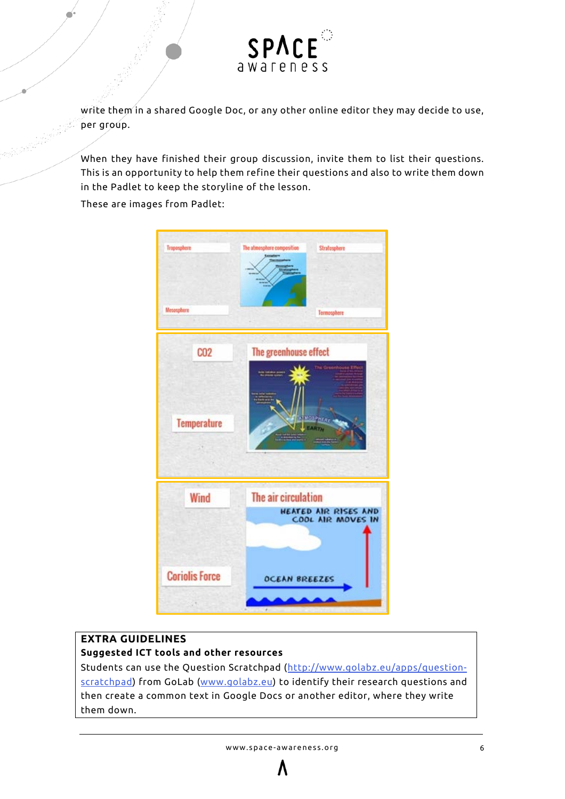

write them in a shared Google Doc, or any other online editor they may decide to use, per group.

When they have finished their group discussion, invite them to list their questions. This is an opportunity to help them refine their questions and also to write them down in the Padlet to keep the storyline of the lesson.

These are images from Padlet:



#### **EXTRA GUIDELINES**

#### **Suggested ICT tools and other resources**

Students can use the Question Scratchpad [\(http://www.golabz.eu/apps/question](http://www.golabz.eu/apps/question-scratchpad)[scratchpad\)](http://www.golabz.eu/apps/question-scratchpad) from GoLab [\(www.golabz.eu\)](http://www.golabz.eu/) to identify their research questions and then create a common text in Google Docs or another editor, where they write them down.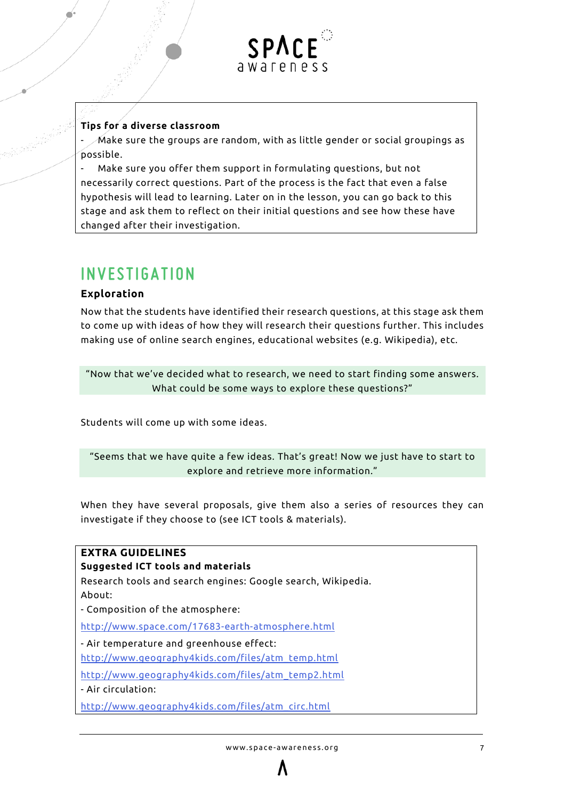

#### **Tips for a diverse classroom**

 $\mathscr N$ Aake sure the groups are random, with as little gender or social groupings as possible.

Make sure you offer them support in formulating questions, but not necessarily correct questions. Part of the process is the fact that even a false hypothesis will lead to learning. Later on in the lesson, you can go back to this stage and ask them to reflect on their initial questions and see how these have changed after their investigation.

### <span id="page-6-0"></span>**INVESTIGATION**

#### <span id="page-6-1"></span>**Exploration**

Now that the students have identified their research questions, at this stage ask them to come up with ideas of how they will research their questions further. This includes making use of online search engines, educational websites (e.g. Wikipedia), etc.

"Now that we've decided what to research, we need to start finding some answers. What could be some ways to explore these questions?"

Students will come up with some ideas.

"Seems that we have quite a few ideas. That's great! Now we just have to start to explore and retrieve more information."

When they have several proposals, give them also a series of resources they can investigate if they choose to (see ICT tools & materials).

### **EXTRA GUIDELINES Suggested ICT tools and materials** Research tools and search engines: Google search, Wikipedia. About: - Composition of the atmosphere: <http://www.space.com/17683-earth-atmosphere.html> - Air temperature and greenhouse effect: [http://www.geography4kids.com/files/atm\\_temp.html](http://www.geography4kids.com/files/atm_temp.html) [http://www.geography4kids.com/files/atm\\_temp2.html](http://www.geography4kids.com/files/atm_temp2.html) - Air circulation: [http://www.geography4kids.com/files/atm\\_circ.html](http://www.geography4kids.com/files/atm_circ.html)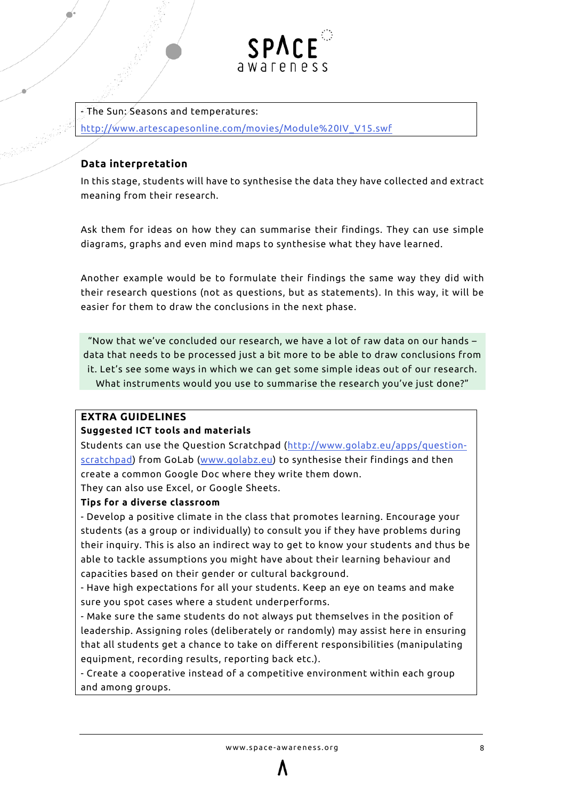

 $-$  The Sun; Seasons and temperatures: [http://www.artescapesonline.com/movies/Module%20IV\\_V15.swf](http://www.artescapesonline.com/movies/Module%20IV_V15.swf)

#### <span id="page-7-0"></span>**Data interpretation**

In this stage, students will have to synthesise the data they have collected and extract meaning from their research.

Ask them for ideas on how they can summarise their findings. They can use simple diagrams, graphs and even mind maps to synthesise what they have learned.

Another example would be to formulate their findings the same way they did with their research questions (not as questions, but as statements). In this way, it will be easier for them to draw the conclusions in the next phase.

"Now that we've concluded our research, we have a lot of raw data on our hands – data that needs to be processed just a bit more to be able to draw conclusions from it. Let's see some ways in which we can get some simple ideas out of our research. What instruments would you use to summarise the research you've just done?"

#### **EXTRA GUIDELINES**

#### **Suggested ICT tools and materials**

Students can use the Question Scratchpad [\(http://www.golabz.eu/apps/question](http://www.golabz.eu/apps/question-scratchpad)[scratchpad\)](http://www.golabz.eu/apps/question-scratchpad) from GoLab [\(www.golabz.eu\)](http://www.golabz.eu/) to synthesise their findings and then create a common Google Doc where they write them down.

They can also use Excel, or Google Sheets.

#### **Tips for a diverse classroom**

- Develop a positive climate in the class that promotes learning. Encourage your students (as a group or individually) to consult you if they have problems during their inquiry. This is also an indirect way to get to know your students and thus be able to tackle assumptions you might have about their learning behaviour and capacities based on their gender or cultural background.

- Have high expectations for all your students. Keep an eye on teams and make sure you spot cases where a student underperforms.

- Make sure the same students do not always put themselves in the position of leadership. Assigning roles (deliberately or randomly) may assist here in ensuring that all students get a chance to take on different responsibilities (manipulating equipment, recording results, reporting back etc.).

- Create a cooperative instead of a competitive environment within each group and among groups.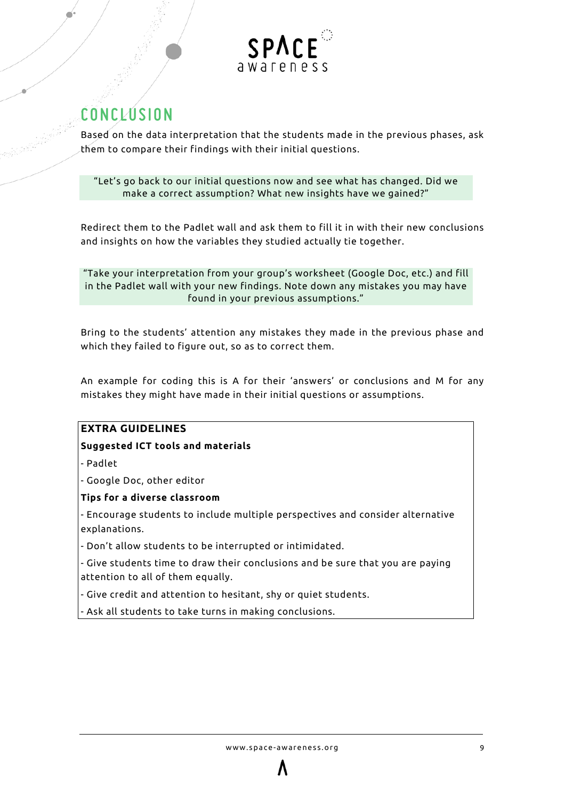

# <span id="page-8-0"></span>**CONCLUSION**

Based on the data interpretation that the students made in the previous phases, ask them to compare their findings with their initial questions.

"Let's go back to our initial questions now and see what has changed. Did we make a correct assumption? What new insights have we gained?"

Redirect them to the Padlet wall and ask them to fill it in with their new conclusions and insights on how the variables they studied actually tie together.

"Take your interpretation from your group's worksheet (Google Doc, etc.) and fill in the Padlet wall with your new findings. Note down any mistakes you may have found in your previous assumptions."

Bring to the students' attention any mistakes they made in the previous phase and which they failed to figure out, so as to correct them.

An example for coding this is A for their 'answers' or conclusions and M for any mistakes they might have made in their initial questions or assumptions.

#### **EXTRA GUIDELINES**

#### **Suggested ICT tools and materials**

- Padlet

- Google Doc, other editor

#### **Tips for a diverse classroom**

- Encourage students to include multiple perspectives and consider alternative explanations.

- Don't allow students to be interrupted or intimidated.

- Give students time to draw their conclusions and be sure that you are paying attention to all of them equally.

- Give credit and attention to hesitant, shy or quiet students.

- Ask all students to take turns in making conclusions.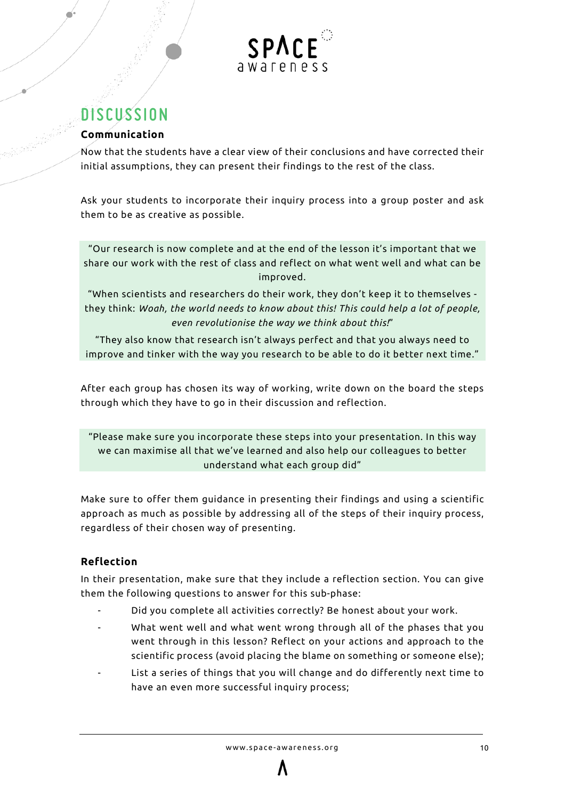

## <span id="page-9-0"></span>**DISCUSSION**

#### <span id="page-9-1"></span>**Communication**

Now that the students have a clear view of their conclusions and have corrected their initial assumptions, they can present their findings to the rest of the class.

Ask your students to incorporate their inquiry process into a group poster and ask them to be as creative as possible.

"Our research is now complete and at the end of the lesson it's important that we share our work with the rest of class and reflect on what went well and what can be improved.

"When scientists and researchers do their work, they don't keep it to themselves they think: *Woah, the world needs to know about this! This could help a lot of people, even revolutionise the way we think about this!*"

"They also know that research isn't always perfect and that you always need to improve and tinker with the way you research to be able to do it better next time."

After each group has chosen its way of working, write down on the board the steps through which they have to go in their discussion and reflection.

"Please make sure you incorporate these steps into your presentation. In this way we can maximise all that we've learned and also help our colleagues to better understand what each group did"

Make sure to offer them guidance in presenting their findings and using a scientific approach as much as possible by addressing all of the steps of their inquiry process, regardless of their chosen way of presenting.

#### <span id="page-9-2"></span>**Reflection**

In their presentation, make sure that they include a reflection section. You can give them the following questions to answer for this sub-phase:

- Did you complete all activities correctly? Be honest about your work.
- What went well and what went wrong through all of the phases that you went through in this lesson? Reflect on your actions and approach to the scientific process (avoid placing the blame on something or someone else);
- List a series of things that you will change and do differently next time to have an even more successful inquiry process;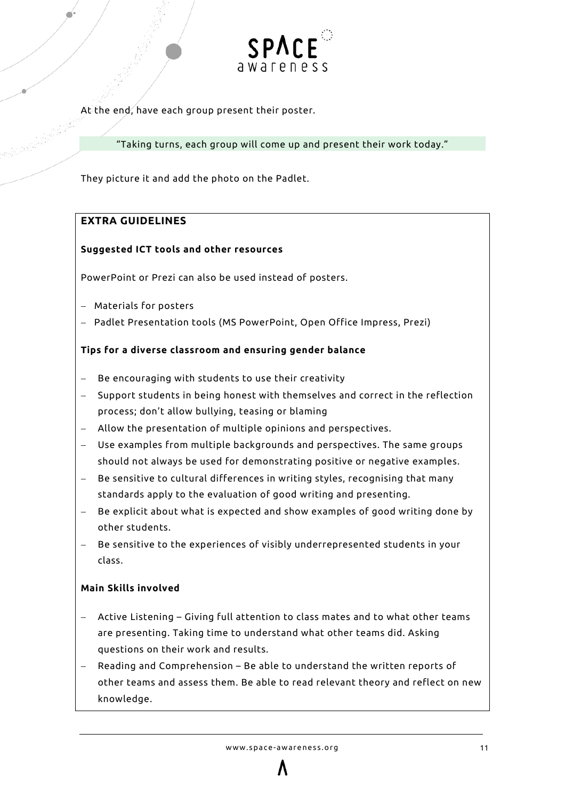

At the end, have each group present their poster.

"Taking turns, each group will come up and present their work today."

They picture it and add the photo on the Padlet.

#### **EXTRA GUIDELINES**

#### **Suggested ICT tools and other resources**

PowerPoint or Prezi can also be used instead of posters.

- − Materials for posters
- − Padlet Presentation tools (MS PowerPoint, Open Office Impress, Prezi)

#### **Tips for a diverse classroom and ensuring gender balance**

- Be encouraging with students to use their creativity
- − Support students in being honest with themselves and correct in the reflection process; don't allow bullying, teasing or blaming
- − Allow the presentation of multiple opinions and perspectives.
- Use examples from multiple backgrounds and perspectives. The same groups should not always be used for demonstrating positive or negative examples.
- Be sensitive to cultural differences in writing styles, recognising that many standards apply to the evaluation of good writing and presenting.
- Be explicit about what is expected and show examples of good writing done by other students.
- Be sensitive to the experiences of visibly underrepresented students in your class.

#### **Main Skills involved**

- − Active Listening Giving full attention to class mates and to what other teams are presenting. Taking time to understand what other teams did. Asking questions on their work and results.
- Reading and Comprehension Be able to understand the written reports of other teams and assess them. Be able to read relevant theory and reflect on new knowledge.